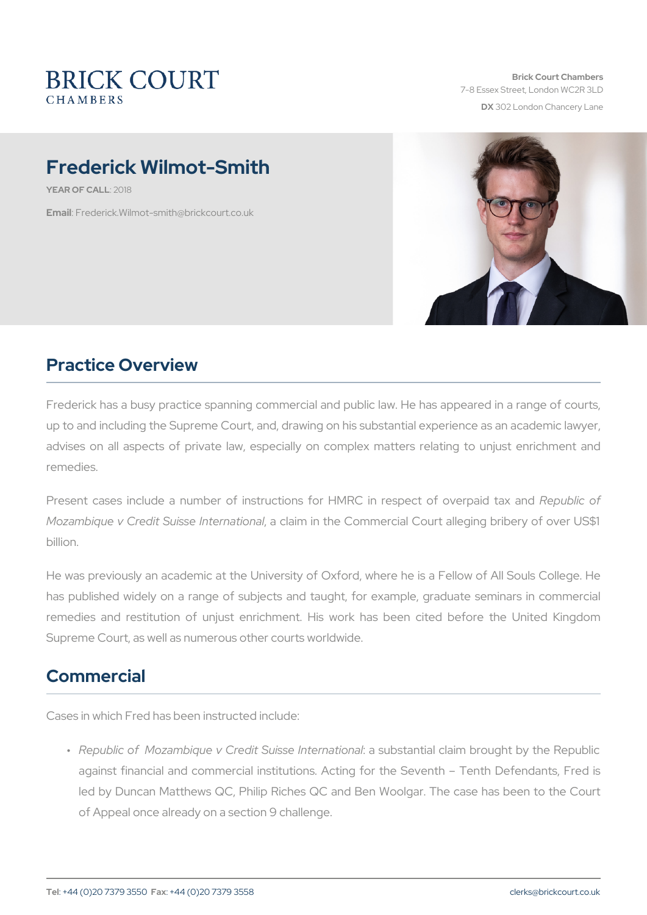Brick Court Chambers 7-8 Essex Street, London WC2 DX 302 London Chancery La

# Frederick Wilmot-Smith

YEAR OF CALL<sub>18</sub>

Ema: Firederick. Wilmot-smith@brickcourt.co.uk

# Practice Overview

Frederick has a busy practice spanning commercial and public law. H up to and including the Supreme Court, and, drawing on his substanti advises on all aspects of private law, especially on complex matte remedies.

Present cases include a number of instructions for HMRC publices of Mozambique v Credit Suissa chaemnational Commercial Court alleging billion.

He was previously an academic at the University of Oxford, where he has published widely on a range of subjects and taught, for examp remedies and restitution of unjust enrichment. His work has been Supreme Court, as well as numerous other courts worldwide.

### Commercial

Cases in which Fred has been instructed include:

" Republic of Mozambique v Credit  $\delta$ usi**s be**tal**ntean a**ctliaoinmalbrought by against financial and commercial institutions. Acting for the Seventh Order led by Duncan Matthews QC, Philip Riches QC and Ben Woolgar. of Appeal once already on a section 9 challenge.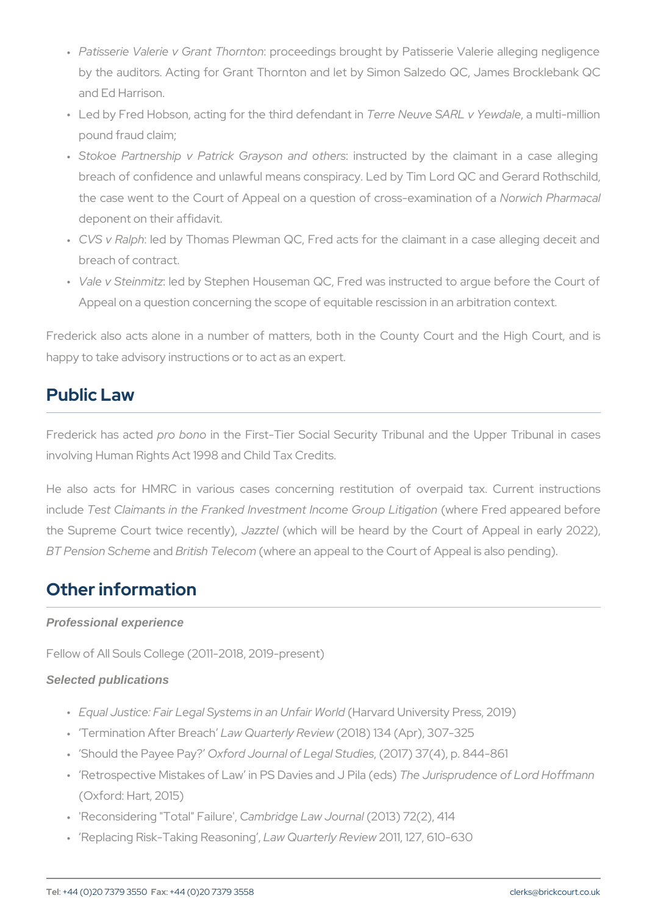- " Patisserie Valerie v Grandc $\overline{\textbf{e}}$ bdingsnbrought by Patisserie Valerie by the auditors. Acting for Grant Thornton and let by Simon Sal: and Ed Harrison.
- " Led by Fred Hobson, acting for thTeetheiroN eduevf**e**nSdAaRi**t**,iwa Ymewlolia-Imeillio pound fraud claim;
- " Stokoe Partnership v Patrick :Griass shounctedd by the hes claimant in a breach of confidence and unlawful means conspiracy. Led by Tim the case went to the Court of Appeal on a questNomwo chc robs are man deponent on their affidavit.
- " CVS v Rallpoon by Thomas Plewman QC, Fred acts for the claimant breach of contract.
- " Vale v Stein enditby Stephen Houseman QC, Fred was instructed to Appeal on a question concerning the scope of equitable rescission

Frederick also acts alone in a number of matters, both in the Cour happy to take advisory instructions or to act as an expert.

### Public Law

Frederick has racted the First-Tier Social Security Tribunal and the involving Human Rights Act 1998 and Child Tax Credits.

He also acts for HMRC in various cases concerning restitution includest Claimants in the Franked Investment (whe one Free douapp beinaing pation the Supreme Court twidezzeecle hitch), will be heard by the Court of Ap BT Pension Sach Emitish Tel (evcloente an appeal to the Court of Appeal is a

## Other information

Professional experience

Fellow of All Souls College (2011-2018, 2019-present)

#### Selected publications

- " Equal Justice: Fair Legal System(blainvand UUnit aver Nevict y I dPress, 2019)
- " Termination AfteLra Breaughterly (Reovi&e) w 134 (Apr), 307-325
- " Should the PayCexefoPrady Journal of Leg(200 \$70d3 e 64), p. 844-861
- " Retrospective Mistakes of Law in PSTDh**a**vJensisapproldlenPicloa o(tédLso)rd Ho (Oxford: Hart, 2015)
- " 'Reconsidering "TotCad 'm Fraid gree Law (J20041 h 30 a 17 2 (2), 414
- " Replacing Risk-Taking a Rwe Q saming 1 y 2 R & vie 1w 2 7, 610-630